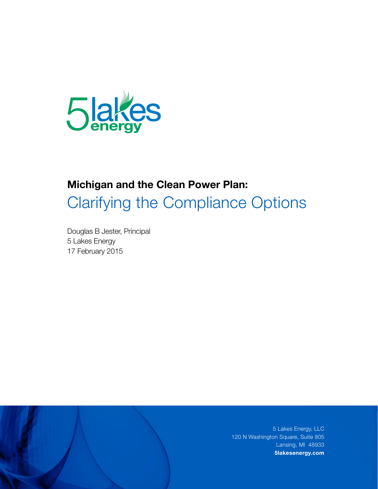

# **Michigan and the Clean Power Plan:**  Clarifying the Compliance Options

Douglas B Jester, Principal 5 Lakes Energy 17 February 2015

> 5 Lakes Energy, LLC 120 N Washington Square, Suite 805 Lansing, MI 48933 **5lakesenergy.com**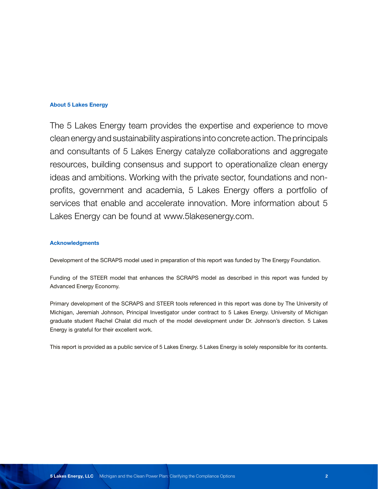# **About 5 Lakes Energy**

The 5 Lakes Energy team provides the expertise and experience to move clean energy and sustainability aspirations into concrete action. The principals and consultants of 5 Lakes Energy catalyze collaborations and aggregate resources, building consensus and support to operationalize clean energy ideas and ambitions. Working with the private sector, foundations and nonprofits, government and academia, 5 Lakes Energy offers a portfolio of services that enable and accelerate innovation. More information about 5 Lakes Energy can be found at www.5lakesenergy.com.

## **Acknowledgments**

Development of the SCRAPS model used in preparation of this report was funded by The Energy Foundation.

Funding of the STEER model that enhances the SCRAPS model as described in this report was funded by Advanced Energy Economy.

Primary development of the SCRAPS and STEER tools referenced in this report was done by The University of Michigan, Jeremiah Johnson, Principal Investigator under contract to 5 Lakes Energy. University of Michigan graduate student Rachel Chalat did much of the model development under Dr. Johnson's direction. 5 Lakes Energy is grateful for their excellent work.

This report is provided as a public service of 5 Lakes Energy. 5 Lakes Energy is solely responsible for its contents.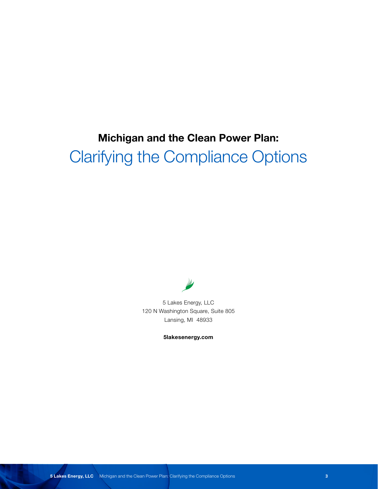# **Michigan and the Clean Power Plan:**  Clarifying the Compliance Options



5 Lakes Energy, LLC 120 N Washington Square, Suite 805 Lansing, MI 48933

**5lakesenergy.com**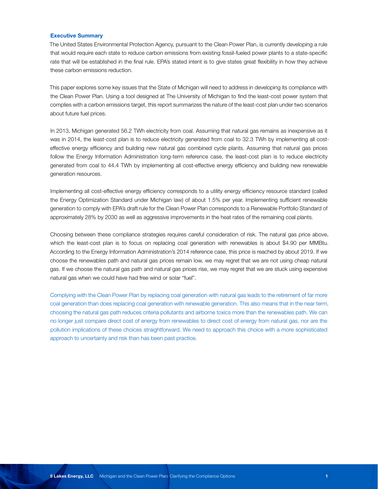#### **Executive Summary**

The United States Environmental Protection Agency, pursuant to the Clean Power Plan, is currently developing a rule that would require each state to reduce carbon emissions from existing fossil-fueled power plants to a state-specific rate that will be established in the final rule. EPA's stated intent is to give states great flexibility in how they achieve these carbon emissions reduction.

This paper explores some key issues that the State of Michigan will need to address in developing its compliance with the Clean Power Plan. Using a tool designed at The University of Michigan to find the least-cost power system that complies with a carbon emissions target, this report summarizes the nature of the least-cost plan under two scenarios about future fuel prices.

In 2013, Michigan generated 56.2 TWh electricity from coal. Assuming that natural gas remains as inexpensive as it was in 2014, the least-cost plan is to reduce electricity generated from coal to 32.3 TWh by implementing all costeffective energy efficiency and building new natural gas combined cycle plants. Assuming that natural gas prices follow the Energy Information Administration long-term reference case, the least-cost plan is to reduce electricity generated from coal to 44.4 TWh by implementing all cost-effective energy efficiency and building new renewable generation resources.

Implementing all cost-effective energy efficiency corresponds to a utility energy efficiency resource standard (called the Energy Optimization Standard under Michigan law) of about 1.5% per year. Implementing sufficient renewable generation to comply with EPA's draft rule for the Clean Power Plan corresponds to a Renewable Portfolio Standard of approximately 28% by 2030 as well as aggressive improvements in the heat rates of the remaining coal plants.

Choosing between these compliance strategies requires careful consideration of risk. The natural gas price above, which the least-cost plan is to focus on replacing coal generation with renewables is about \$4.90 per MMBtu. According to the Energy Information Administration's 2014 reference case, this price is reached by about 2019. If we choose the renewables path and natural gas prices remain low, we may regret that we are not using cheap natural gas. If we choose the natural gas path and natural gas prices rise, we may regret that we are stuck using expensive natural gas when we could have had free wind or solar "fuel".

Complying with the Clean Power Plan by replacing coal generation with natural gas leads to the retirement of far more coal generation than does replacing coal generation with renewable generation. This also means that in the near term, choosing the natural gas path reduces criteria pollutants and airborne toxics more than the renewables path. We can no longer just compare direct cost of energy from renewables to direct cost of energy from natural gas, nor are the pollution implications of these choices straightforward. We need to approach this choice with a more sophisticated approach to uncertainty and risk than has been past practice.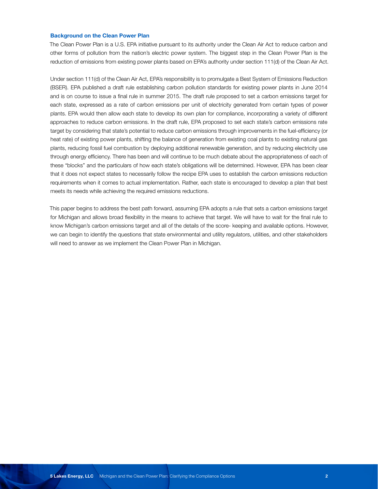#### **Background on the Clean Power Plan**

The Clean Power Plan is a U.S. EPA initiative pursuant to its authority under the Clean Air Act to reduce carbon and other forms of pollution from the nation's electric power system. The biggest step in the Clean Power Plan is the reduction of emissions from existing power plants based on EPA's authority under section 111(d) of the Clean Air Act.

Under section 111(d) of the Clean Air Act, EPA's responsibility is to promulgate a Best System of Emissions Reduction (BSER). EPA published a draft rule establishing carbon pollution standards for existing power plants in June 2014 and is on course to issue a final rule in summer 2015. The draft rule proposed to set a carbon emissions target for each state, expressed as a rate of carbon emissions per unit of electricity generated from certain types of power plants. EPA would then allow each state to develop its own plan for compliance, incorporating a variety of different approaches to reduce carbon emissions. In the draft rule, EPA proposed to set each state's carbon emissions rate target by considering that state's potential to reduce carbon emissions through improvements in the fuel-efficiency (or heat rate) of existing power plants, shifting the balance of generation from existing coal plants to existing natural gas plants, reducing fossil fuel combustion by deploying additional renewable generation, and by reducing electricity use through energy efficiency. There has been and will continue to be much debate about the appropriateness of each of these "blocks" and the particulars of how each state's obligations will be determined. However, EPA has been clear that it does not expect states to necessarily follow the recipe EPA uses to establish the carbon emissions reduction requirements when it comes to actual implementation. Rather, each state is encouraged to develop a plan that best meets its needs while achieving the required emissions reductions.

This paper begins to address the best path forward, assuming EPA adopts a rule that sets a carbon emissions target for Michigan and allows broad flexibility in the means to achieve that target. We will have to wait for the final rule to know Michigan's carbon emissions target and all of the details of the score- keeping and available options. However, we can begin to identify the questions that state environmental and utility regulators, utilities, and other stakeholders will need to answer as we implement the Clean Power Plan in Michigan.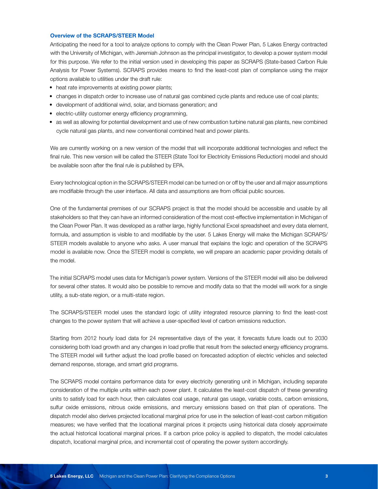#### **Overview of the SCRAPS/STEER Model**

Anticipating the need for a tool to analyze options to comply with the Clean Power Plan, 5 Lakes Energy contracted with the University of Michigan, with Jeremiah Johnson as the principal investigator, to develop a power system model for this purpose. We refer to the initial version used in developing this paper as SCRAPS (State-based Carbon Rule Analysis for Power Systems). SCRAPS provides means to find the least-cost plan of compliance using the major options available to utilities under the draft rule:

- heat rate improvements at existing power plants;
- changes in dispatch order to increase use of natural gas combined cycle plants and reduce use of coal plants;
- development of additional wind, solar, and biomass generation; and
- electric-utility customer energy efficiency programming,
- as well as allowing for potential development and use of new combustion turbine natural gas plants, new combined cycle natural gas plants, and new conventional combined heat and power plants.

We are currently working on a new version of the model that will incorporate additional technologies and reflect the final rule. This new version will be called the STEER (State Tool for Electricity Emissions Reduction) model and should be available soon after the final rule is published by EPA.

Every technological option in the SCRAPS/STEER model can be turned on or off by the user and all major assumptions are modifiable through the user interface. All data and assumptions are from official public sources.

One of the fundamental premises of our SCRAPS project is that the model should be accessible and usable by all stakeholders so that they can have an informed consideration of the most cost-effective implementation in Michigan of the Clean Power Plan. It was developed as a rather large, highly functional Excel spreadsheet and every data element, formula, and assumption is visible to and modifiable by the user. 5 Lakes Energy will make the Michigan SCRAPS/ STEER models available to anyone who asks. A user manual that explains the logic and operation of the SCRAPS model is available now. Once the STEER model is complete, we will prepare an academic paper providing details of the model.

The initial SCRAPS model uses data for Michigan's power system. Versions of the STEER model will also be delivered for several other states. It would also be possible to remove and modify data so that the model will work for a single utility, a sub-state region, or a multi-state region.

The SCRAPS/STEER model uses the standard logic of utility integrated resource planning to find the least-cost changes to the power system that will achieve a user-specified level of carbon emissions reduction.

Starting from 2012 hourly load data for 24 representative days of the year, it forecasts future loads out to 2030 considering both load growth and any changes in load profile that result from the selected energy efficiency programs. The STEER model will further adjust the load profile based on forecasted adoption of electric vehicles and selected demand response, storage, and smart grid programs.

The SCRAPS model contains performance data for every electricity generating unit in Michigan, including separate consideration of the multiple units within each power plant. It calculates the least-cost dispatch of these generating units to satisfy load for each hour, then calculates coal usage, natural gas usage, variable costs, carbon emissions, sulfur oxide emissions, nitrous oxide emissions, and mercury emissions based on that plan of operations. The dispatch model also derives projected locational marginal price for use in the selection of least-cost carbon mitigation measures; we have verified that the locational marginal prices it projects using historical data closely approximate the actual historical locational marginal prices. If a carbon price policy is applied to dispatch, the model calculates dispatch, locational marginal price, and incremental cost of operating the power system accordingly.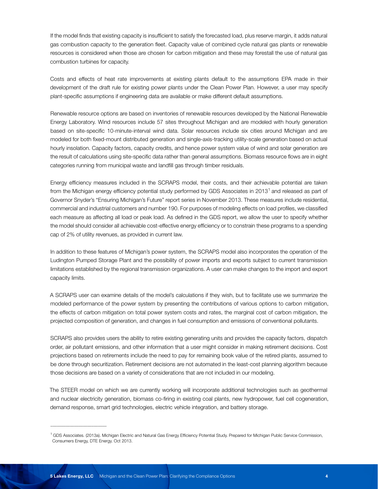If the model finds that existing capacity is insufficient to satisfy the forecasted load, plus reserve margin, it adds natural gas combustion capacity to the generation fleet. Capacity value of combined cycle natural gas plants or renewable resources is considered when those are chosen for carbon mitigation and these may forestall the use of natural gas combustion turbines for capacity.

Costs and effects of heat rate improvements at existing plants default to the assumptions EPA made in their development of the draft rule for existing power plants under the Clean Power Plan. However, a user may specify plant-specific assumptions if engineering data are available or make different default assumptions.

Renewable resource options are based on inventories of renewable resources developed by the National Renewable Energy Laboratory. Wind resources include 57 sites throughout Michigan and are modeled with hourly generation based on site-specific 10-minute-interval wind data. Solar resources include six cities around Michigan and are modeled for both fixed-mount distributed generation and single-axis-tracking utility-scale generation based on actual hourly insolation. Capacity factors, capacity credits, and hence power system value of wind and solar generation are the result of calculations using site-specific data rather than general assumptions. Biomass resource flows are in eight categories running from municipal waste and landfill gas through timber residuals.

Energy efficiency measures included in the SCRAPS model, their costs, and their achievable potential are taken from the Michigan energy efficiency potential study performed by GDS Associates in 2013<sup>1</sup> and released as part of Governor Snyder's "Ensuring Michigan's Future" report series in November 2013. These measures include residential, commercial and industrial customers and number 190. For purposes of modeling effects on load profiles, we classified each measure as affecting all load or peak load. As defined in the GDS report, we allow the user to specify whether the model should consider all achievable cost-effective energy efficiency or to constrain these programs to a spending cap of 2% of utility revenues, as provided in current law.

In addition to these features of Michigan's power system, the SCRAPS model also incorporates the operation of the Ludington Pumped Storage Plant and the possibility of power imports and exports subject to current transmission limitations established by the regional transmission organizations. A user can make changes to the import and export capacity limits.

A SCRAPS user can examine details of the model's calculations if they wish, but to facilitate use we summarize the modeled performance of the power system by presenting the contributions of various options to carbon mitigation, the effects of carbon mitigation on total power system costs and rates, the marginal cost of carbon mitigation, the projected composition of generation, and changes in fuel consumption and emissions of conventional pollutants.

SCRAPS also provides users the ability to retire existing generating units and provides the capacity factors, dispatch order, air pollutant emissions, and other information that a user might consider in making retirement decisions. Cost projections based on retirements include the need to pay for remaining book value of the retired plants, assumed to be done through securitization. Retirement decisions are not automated in the least-cost planning algorithm because those decisions are based on a variety of considerations that are not included in our modeling.

The STEER model on which we are currently working will incorporate additional technologies such as geothermal and nuclear electricity generation, biomass co-firing in existing coal plants, new hydropower, fuel cell cogeneration, demand response, smart grid technologies, electric vehicle integration, and battery storage.

 $\overline{\phantom{a}}$  , where  $\overline{\phantom{a}}$  , where  $\overline{\phantom{a}}$  ,  $\overline{\phantom{a}}$  ,  $\overline{\phantom{a}}$  ,  $\overline{\phantom{a}}$  ,  $\overline{\phantom{a}}$  ,  $\overline{\phantom{a}}$  ,  $\overline{\phantom{a}}$  ,  $\overline{\phantom{a}}$  ,  $\overline{\phantom{a}}$  ,  $\overline{\phantom{a}}$  ,  $\overline{\phantom{a}}$  ,  $\overline{\phantom{a}}$  ,  $\overline{\phantom{a}}$  ,

<sup>1</sup> GDS Associates. (2013a). Michigan Electric and Natural Gas Energy Efficiency Potential Study. Prepared for Michigan Public Service Commission, Consumers Energy, DTE Energy. Oct 2013.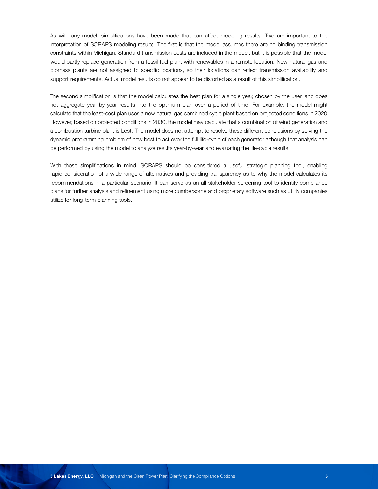As with any model, simplifications have been made that can affect modeling results. Two are important to the interpretation of SCRAPS modeling results. The first is that the model assumes there are no binding transmission constraints within Michigan. Standard transmission costs are included in the model, but it is possible that the model would partly replace generation from a fossil fuel plant with renewables in a remote location. New natural gas and biomass plants are not assigned to specific locations, so their locations can reflect transmission availability and support requirements. Actual model results do not appear to be distorted as a result of this simplification.

The second simplification is that the model calculates the best plan for a single year, chosen by the user, and does not aggregate year-by-year results into the optimum plan over a period of time. For example, the model might calculate that the least-cost plan uses a new natural gas combined cycle plant based on projected conditions in 2020. However, based on projected conditions in 2030, the model may calculate that a combination of wind generation and a combustion turbine plant is best. The model does not attempt to resolve these different conclusions by solving the dynamic programming problem of how best to act over the full life-cycle of each generator although that analysis can be performed by using the model to analyze results year-by-year and evaluating the life-cycle results.

With these simplifications in mind, SCRAPS should be considered a useful strategic planning tool, enabling rapid consideration of a wide range of alternatives and providing transparency as to why the model calculates its recommendations in a particular scenario. It can serve as an all-stakeholder screening tool to identify compliance plans for further analysis and refinement using more cumbersome and proprietary software such as utility companies utilize for long-term planning tools.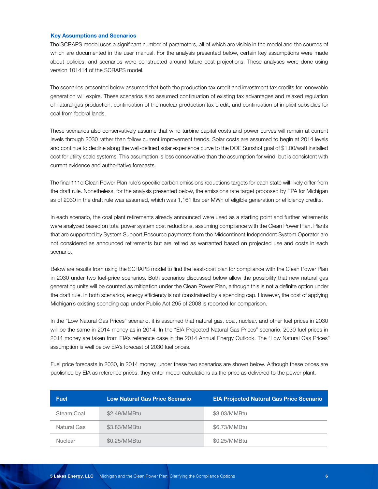#### **Key Assumptions and Scenarios**

The SCRAPS model uses a significant number of parameters, all of which are visible in the model and the sources of which are documented in the user manual. For the analysis presented below, certain key assumptions were made about policies, and scenarios were constructed around future cost projections. These analyses were done using version 101414 of the SCRAPS model.

The scenarios presented below assumed that both the production tax credit and investment tax credits for renewable generation will expire. These scenarios also assumed continuation of existing tax advantages and relaxed regulation of natural gas production, continuation of the nuclear production tax credit, and continuation of implicit subsidies for coal from federal lands.

These scenarios also conservatively assume that wind turbine capital costs and power curves will remain at current levels through 2030 rather than follow current improvement trends. Solar costs are assumed to begin at 2014 levels and continue to decline along the well-defined solar experience curve to the DOE Sunshot goal of \$1.00/watt installed cost for utility scale systems. This assumption is less conservative than the assumption for wind, but is consistent with current evidence and authoritative forecasts.

The final 111d Clean Power Plan rule's specific carbon emissions reductions targets for each state will likely differ from the draft rule. Nonetheless, for the analysis presented below, the emissions rate target proposed by EPA for Michigan as of 2030 in the draft rule was assumed, which was 1,161 lbs per MWh of eligible generation or efficiency credits.

In each scenario, the coal plant retirements already announced were used as a starting point and further retirements were analyzed based on total power system cost reductions, assuming compliance with the Clean Power Plan. Plants that are supported by System Support Resource payments from the Midcontinent Independent System Operator are not considered as announced retirements but are retired as warranted based on projected use and costs in each scenario.

Below are results from using the SCRAPS model to find the least-cost plan for compliance with the Clean Power Plan in 2030 under two fuel-price scenarios. Both scenarios discussed below allow the possibility that new natural gas generating units will be counted as mitigation under the Clean Power Plan, although this is not a definite option under the draft rule. In both scenarios, energy efficiency is not constrained by a spending cap. However, the cost of applying Michigan's existing spending cap under Public Act 295 of 2008 is reported for comparison.

In the "Low Natural Gas Prices" scenario, it is assumed that natural gas, coal, nuclear, and other fuel prices in 2030 will be the same in 2014 money as in 2014. In the "EIA Projected Natural Gas Prices" scenario, 2030 fuel prices in 2014 money are taken from EIA's reference case in the 2014 Annual Energy Outlook. The "Low Natural Gas Prices" assumption is well below EIA's forecast of 2030 fuel prices.

Fuel price forecasts in 2030, in 2014 money, under these two scenarios are shown below. Although these prices are published by EIA as reference prices, they enter model calculations as the price as delivered to the power plant.

| <b>Fuel</b> | <b>Low Natural Gas Price Scenario</b> | <b>EIA Projected Natural Gas Price Scenario</b> |
|-------------|---------------------------------------|-------------------------------------------------|
| Steam Coal  | \$2.49/MMBtu                          | \$3.03/MMBtu                                    |
| Natural Gas | \$3.83/MMBtu                          | \$6.73/MMBtu                                    |
| Nuclear     | \$0.25/MMBtu                          | \$0.25/MMBtu                                    |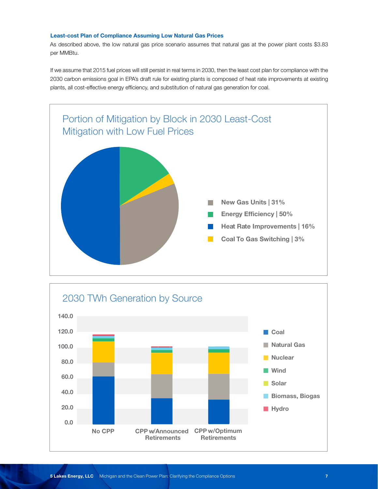### **Least-cost Plan of Compliance Assuming Low Natural Gas Prices**

As described above, the low natural gas price scenario assumes that natural gas at the power plant costs \$3.83 per MMBtu.

If we assume that 2015 fuel prices will still persist in real terms in 2030, then the least cost plan for compliance with the 2030 carbon emissions goal in EPA's draft rule for existing plants is composed of heat rate improvements at existing plants, all cost-effective energy efficiency, and substitution of natural gas generation for coal.



![](_page_9_Figure_4.jpeg)

**New Gas Units | 0%**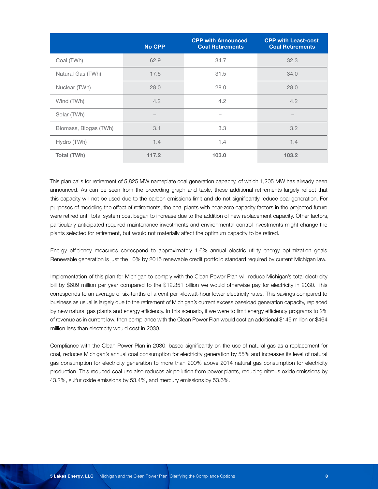|                       | <b>No CPP</b> | <b>CPP with Announced</b><br><b>Coal Retirements</b> | <b>CPP with Least-cost</b><br><b>Coal Retirements</b> |
|-----------------------|---------------|------------------------------------------------------|-------------------------------------------------------|
| Coal (TWh)            | 62.9          | 34.7                                                 | 32.3                                                  |
| Natural Gas (TWh)     | 17.5          | 31.5                                                 | 34.0                                                  |
| Nuclear (TWh)         | 28.0          | 28.0                                                 | 28.0                                                  |
| Wind (TWh)            | 4.2           | 4.2                                                  | 4.2                                                   |
| Solar (TWh)           |               | $\overline{\phantom{0}}$                             |                                                       |
| Biomass, Biogas (TWh) | 3.1           | 3.3                                                  | 3.2                                                   |
| Hydro (TWh)           | 1.4           | 1.4                                                  | 1.4                                                   |
| Total (TWh)           | 117.2         | 103.0                                                | 103.2                                                 |

This plan calls for retirement of 5,825 MW nameplate coal generation capacity, of which 1,205 MW has already been announced. As can be seen from the preceding graph and table, these additional retirements largely reflect that this capacity will not be used due to the carbon emissions limit and do not significantly reduce coal generation. For purposes of modeling the effect of retirements, the coal plants with near-zero capacity factors in the projected future were retired until total system cost began to increase due to the addition of new replacement capacity. Other factors, particularly anticipated required maintenance investments and environmental control investments might change the plants selected for retirement, but would not materially affect the optimum capacity to be retired.

Energy efficiency measures correspond to approximately 1.6% annual electric utility energy optimization goals. Renewable generation is just the 10% by 2015 renewable credit portfolio standard required by current Michigan law.

Implementation of this plan for Michigan to comply with the Clean Power Plan will reduce Michigan's total electricity bill by \$609 million per year compared to the \$12.351 billion we would otherwise pay for electricity in 2030. This corresponds to an average of six-tenths of a cent per kilowatt-hour lower electricity rates. This savings compared to business as usual is largely due to the retirement of Michigan's current excess baseload generation capacity, replaced by new natural gas plants and energy efficiency. In this scenario, if we were to limit energy efficiency programs to 2% of revenue as in current law, then compliance with the Clean Power Plan would cost an additional \$145 million or \$464 million less than electricity would cost in 2030.

Compliance with the Clean Power Plan in 2030, based significantly on the use of natural gas as a replacement for coal, reduces Michigan's annual coal consumption for electricity generation by 55% and increases its level of natural gas consumption for electricity generation to more than 200% above 2014 natural gas consumption for electricity production. This reduced coal use also reduces air pollution from power plants, reducing nitrous oxide emissions by 43.2%, sulfur oxide emissions by 53.4%, and mercury emissions by 53.6%.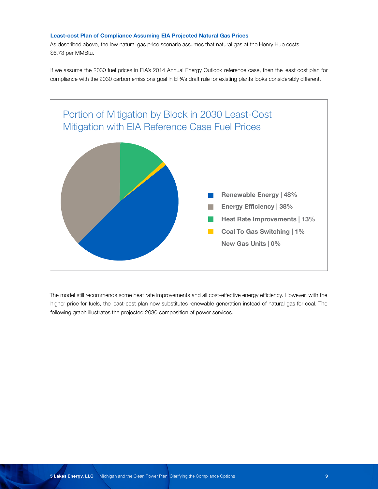### **Least-cost Plan of Compliance Assuming EIA Projected Natural Gas Prices**

As described above, the low natural gas price scenario assumes that natural gas at the Henry Hub costs \$6.73 per MMBtu.

If we assume the 2030 fuel prices in EIA's 2014 Annual Energy Outlook reference case, then the least cost plan for compliance with the 2030 carbon emissions goal in EPA's draft rule for existing plants looks considerably different.

![](_page_11_Figure_3.jpeg)

The model still recommends some heat rate improvements and all cost-effective energy efficiency. However, with the higher price for fuels, the least-cost plan now substitutes renewable generation instead of natural gas for coal. The following graph illustrates the projected 2030 composition of power services.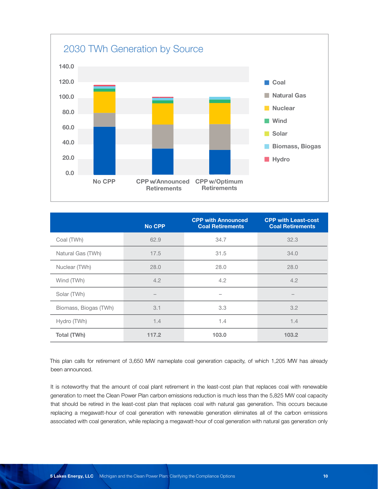![](_page_12_Figure_0.jpeg)

| <b>No CPP</b> | <b>CPP with Announced</b><br><b>Coal Retirements</b> | <b>CPP with Least-cost</b><br><b>Coal Retirements</b> |
|---------------|------------------------------------------------------|-------------------------------------------------------|
| 62.9          | 34.7                                                 | 32.3                                                  |
| 17.5          | 31.5                                                 | 34.0                                                  |
| 28.0          | 28.0                                                 | 28.0                                                  |
| 4.2           | 4.2                                                  | 4.2                                                   |
|               | -                                                    |                                                       |
| 3.1           | 3.3                                                  | 3.2                                                   |
| 1.4           | 1.4                                                  | 1.4                                                   |
| 117.2         | 103.0                                                | 103.2                                                 |
|               |                                                      |                                                       |

**0.0** This plan calls for retirement of 3,650 MW nameplate coal generation capacity, of which 1,205 MW has already been announced.

It is noteworthy that the amount of coal plant retirement in the least-cost plan that replaces coal with renewable generation to meet the Clean Power Plan carbon emissions reduction is much less than the 5,825 MW coal capacity that should be retired in the least-cost plan that replaces coal with natural gas generation. This occurs because replacing a megawatt-hour of coal generation with renewable generation eliminates all of the carbon emissions associated with coal generation, while replacing a megawatt-hour of coal generation with natural gas generation only

**Hydro**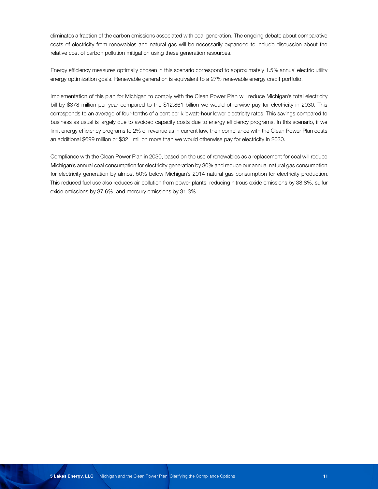eliminates a fraction of the carbon emissions associated with coal generation. The ongoing debate about comparative costs of electricity from renewables and natural gas will be necessarily expanded to include discussion about the relative cost of carbon pollution mitigation using these generation resources.

Energy efficiency measures optimally chosen in this scenario correspond to approximately 1.5% annual electric utility energy optimization goals. Renewable generation is equivalent to a 27% renewable energy credit portfolio.

Implementation of this plan for Michigan to comply with the Clean Power Plan will reduce Michigan's total electricity bill by \$378 million per year compared to the \$12.861 billion we would otherwise pay for electricity in 2030. This corresponds to an average of four-tenths of a cent per kilowatt-hour lower electricity rates. This savings compared to business as usual is largely due to avoided capacity costs due to energy efficiency programs. In this scenario, if we limit energy efficiency programs to 2% of revenue as in current law, then compliance with the Clean Power Plan costs an additional \$699 million or \$321 million more than we would otherwise pay for electricity in 2030.

Compliance with the Clean Power Plan in 2030, based on the use of renewables as a replacement for coal will reduce Michigan's annual coal consumption for electricity generation by 30% and reduce our annual natural gas consumption for electricity generation by almost 50% below Michigan's 2014 natural gas consumption for electricity production. This reduced fuel use also reduces air pollution from power plants, reducing nitrous oxide emissions by 38.8%, sulfur oxide emissions by 37.6%, and mercury emissions by 31.3%.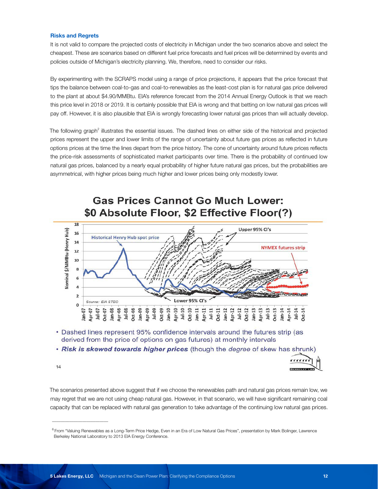#### **Risks and Regrets**

It is not valid to compare the projected costs of electricity in Michigan under the two scenarios above and select the cheapest. These are scenarios based on different fuel price forecasts and fuel prices will be determined by events and policies outside of Michigan's electricity planning. We, therefore, need to consider our risks.

By experimenting with the SCRAPS model using a range of price projections, it appears that the price forecast that tips the balance between coal-to-gas and coal-to-renewables as the least-cost plan is for natural gas price delivered to the plant at about \$4.90/MMBtu. EIA's reference forecast from the 2014 Annual Energy Outlook is that we reach this price level in 2018 or 2019. It is certainly possible that EIA is wrong and that betting on low natural gas prices will pay off. However, it is also plausible that EIA is wrongly forecasting lower natural gas prices than will actually develop.

The following graph<sup>2</sup> illustrates the essential issues. The dashed lines on either side of the historical and projected prices represent the upper and lower limits of the range of uncertainty about future gas prices as reflected in future options prices at the time the lines depart from the price history. The cone of uncertainty around future prices reflects the price-risk assessments of sophisticated market participants over time. There is the probability of continued low natural gas prices, balanced by a nearly equal probability of higher future natural gas prices, but the probabilities are asymmetrical, with higher prices being much higher and lower prices being only modestly lower.

![](_page_14_Figure_4.jpeg)

# **Gas Prices Cannot Go Much Lower:** \$0 Absolute Floor, \$2 Effective Floor(?)

- Dashed lines represent 95% confidence intervals around the futures strip (as derived from the price of options on gas futures) at monthly intervals
- . Risk is skewed towards higher prices (though the degree of skew has shrunk)

 $14$ 

 $\overline{\phantom{a}}$  , where  $\overline{\phantom{a}}$  , where  $\overline{\phantom{a}}$  ,  $\overline{\phantom{a}}$  ,  $\overline{\phantom{a}}$  ,  $\overline{\phantom{a}}$  ,  $\overline{\phantom{a}}$  ,  $\overline{\phantom{a}}$  ,  $\overline{\phantom{a}}$  ,  $\overline{\phantom{a}}$  ,  $\overline{\phantom{a}}$  ,  $\overline{\phantom{a}}$  ,  $\overline{\phantom{a}}$  ,  $\overline{\phantom{a}}$  ,  $\overline{\phantom{a}}$  ,

The scenarios presented above suggest that if we choose the renewables path and natural gas prices remain low, we may regret that we are not using cheap natural gas. However, in that scenario, we will have significant remaining coal capacity that can be replaced with natural gas generation to take advantage of the continuing low natural gas prices.

 $rrr$ 

<sup>&</sup>lt;sup>6</sup> From "Valuing Renewables as a Long-Term Price Hedge, Even in an Era of Low Natural Gas Prices", presentation by Mark Bolinger, Lawrence Berkeley National Laboratory to 2013 EIA Energy Conference.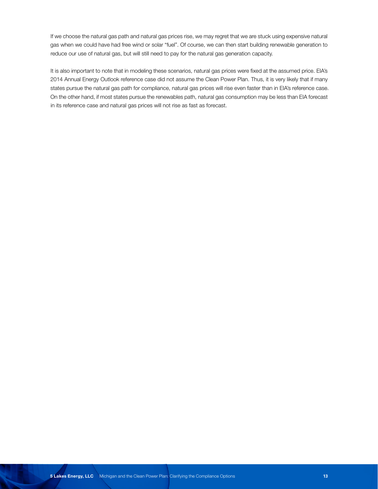If we choose the natural gas path and natural gas prices rise, we may regret that we are stuck using expensive natural gas when we could have had free wind or solar "fuel". Of course, we can then start building renewable generation to reduce our use of natural gas, but will still need to pay for the natural gas generation capacity.

It is also important to note that in modeling these scenarios, natural gas prices were fixed at the assumed price. EIA's 2014 Annual Energy Outlook reference case did not assume the Clean Power Plan. Thus, it is very likely that if many states pursue the natural gas path for compliance, natural gas prices will rise even faster than in EIA's reference case. On the other hand, if most states pursue the renewables path, natural gas consumption may be less than EIA forecast in its reference case and natural gas prices will not rise as fast as forecast.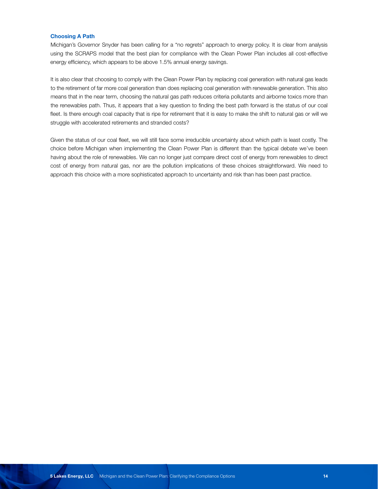#### **Choosing A Path**

Michigan's Governor Snyder has been calling for a "no regrets" approach to energy policy. It is clear from analysis using the SCRAPS model that the best plan for compliance with the Clean Power Plan includes all cost-effective energy efficiency, which appears to be above 1.5% annual energy savings.

It is also clear that choosing to comply with the Clean Power Plan by replacing coal generation with natural gas leads to the retirement of far more coal generation than does replacing coal generation with renewable generation. This also means that in the near term, choosing the natural gas path reduces criteria pollutants and airborne toxics more than the renewables path. Thus, it appears that a key question to finding the best path forward is the status of our coal fleet. Is there enough coal capacity that is ripe for retirement that it is easy to make the shift to natural gas or will we struggle with accelerated retirements and stranded costs?

Given the status of our coal fleet, we will still face some irreducible uncertainty about which path is least costly. The choice before Michigan when implementing the Clean Power Plan is different than the typical debate we've been having about the role of renewables. We can no longer just compare direct cost of energy from renewables to direct cost of energy from natural gas, nor are the pollution implications of these choices straightforward. We need to approach this choice with a more sophisticated approach to uncertainty and risk than has been past practice.